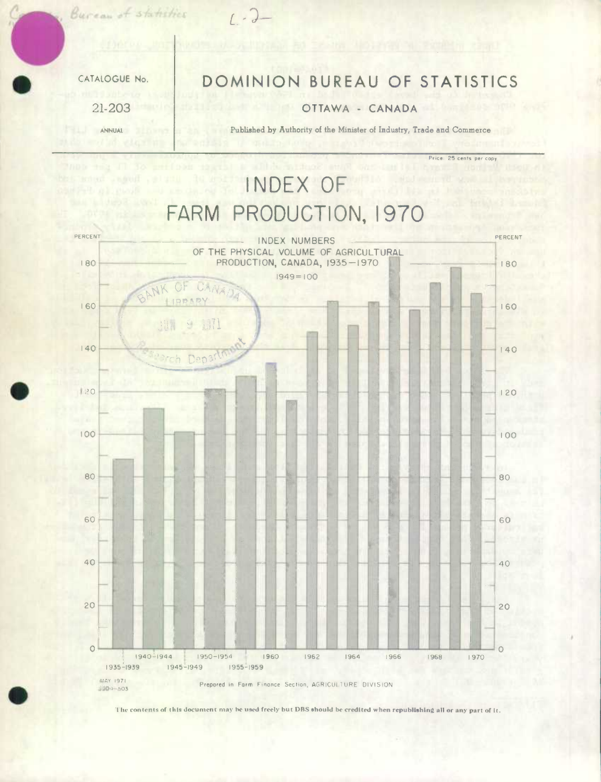Eurean of st.<br>CATALOGUE No.<br>21-203

21-203

ANNUAL

**a** 

.

## DOMINION BUREAU OF STATISTICS

 $1 - 2 -$ 

## OTTAWA - CANADA

Published by Authority of the Minister of Industry, Trade and Commerce

Price: 25 cents per copy

**INDEX OF FARM PRODUCTION, 1970**  PERCENT **INDEX NUMBERS** PERCENT OF THE PHYSICAL VOLUME OF AGRICULTURAL PRODUCTION, CANADA, 1935-1970 I 80 '80  $1949 = 100$ NK OF CANAR IRPARY 160 160 **9 371** 用 140 140 abrch Depar  $|20$ 120 100 100 80 80 60 60 40 40 20  $20$ 2:n.n. 1940-1944 1950-1954 1960 1962 1964 1966 1968 1970 1970 1935-1939 1945-1949 1955 - 1959 MAY 1971

Prepored in Form Finance Section, AGRICULTURE DIVISION 4804-503

**11w conIenle of this document** may he used freely **but DBS ehould be credited when republishing all or any part of It.**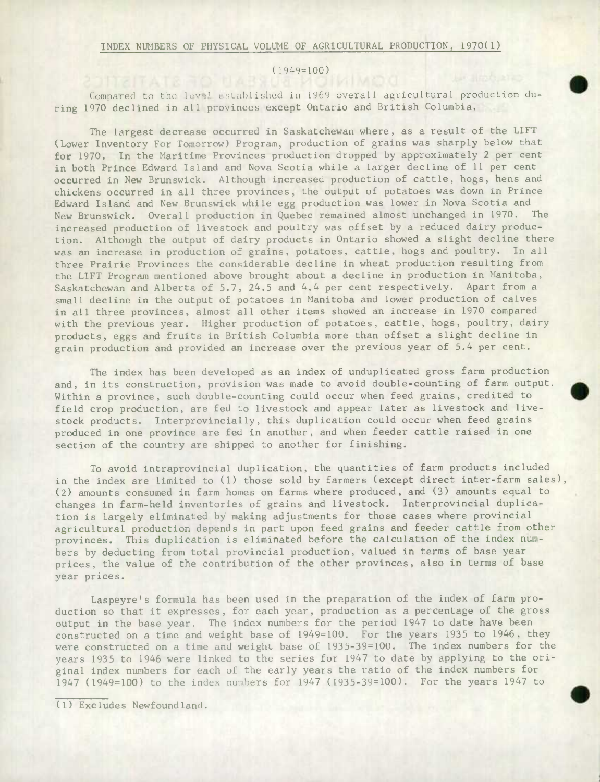## ( 1949=100)

Compared to the level established in 1969 overall agricultural production during 1970 declined in all provinces except Ontario and British Columbia.

The largest decrease occurred in Saskatchewan where, as a result of the LIFT (Lower Inventory For Tomorrow) Program, production of grains was sharply below that for 1970. In the Maritime Provinces production dropped by approximately 2 per cent in both Prince Edward Island and Nova Scotia while a larger decline of 11 per cent occurred in New Brunswick. Although increased production of cattle, hogs, hens and chickens occurred in all three provinces, the output of potatoes was down in Prince Edward Island and New Brunswick while egg production was lower in Nova Scotia and New Brunswick. Overall production in Quebec remained almost unchanged in 1970. The increased production of livestock and poultry was offset by a reduced dairy production. Although the output of dairy products in Ontario showed a slight decline there was an increase in production of grains, potatoes, cattle, hogs and poultry. In all three Prairie Provinces the considerable decline in wheat production resulting from the LIFT Program mentioned above brought about a decline in production in Manitoba, Saskatchewan and Alberta of 5.7, 24.5 and 4.4 per cent respectively. Apart from a small decline in the output of potatoes in Manitoba and lower production of calves in all three provinces, almost all other items showed an increase in 1970 compared with the previous year. Higher production of potatoes, cattle, hogs, poultry, dairy products, eggs and fruits in British Columbia more than offset a slight decline in grain production and provided an increase over the previous year of 5.4 per cent.

The index has been developed as an index of unduplicated gross farm production and, in its construction, provision was made to avoid double-counting of farm output. Within a province, such double-counting could occur when feed grains, credited to field crop production, are fed to livestock and appear later as livestock and livestock products. Interprovincially, this duplication could occur when feed grains produced in one province are fed in another, and when feeder cattle raised in one section of the country are shipped to another for finishing.

To avoid intraprovincial duplication, the quantities of farm products included in the index are limited to (1) those sold by farmers (except direct inter-farm sales), (2) amounts consumed in farm homes on farms where produced, and (3) amounts equal to changes in farm-held Inventories of grains and livestock. Interprovincial duplication is largely eliminated by making adjustments for those cases where provincial agricultural production depends in part upon feed grains and feeder cattle from other provinces. This duplication is eliminated before the calculation of the index numbers by deducting from total provincial production, valued in terms of base year prices, the value of the contribution of the other provinces, also in terms of base year prices.

Laspeyre's formula has been used in the preparation of the index of farm production so that it expresses, for each year, production as a percentage of the gross output in the base year. The index numbers for the period 1947 to date have been constructed on a time and weight base of 1949=100. For the years 1935 to 1946, they were constructed on a time and weight base of 1935-39=100. The index numbers for the years 1935 to 1946 were linked to the series for 1947 to date by applying to the original index numbers for each of the early years the ratio of the index numbers for 1947 (1949=100) to the index numbers for 1947 (1935-39=100). For the years 1947 to

(1) Excludes Newfoundland.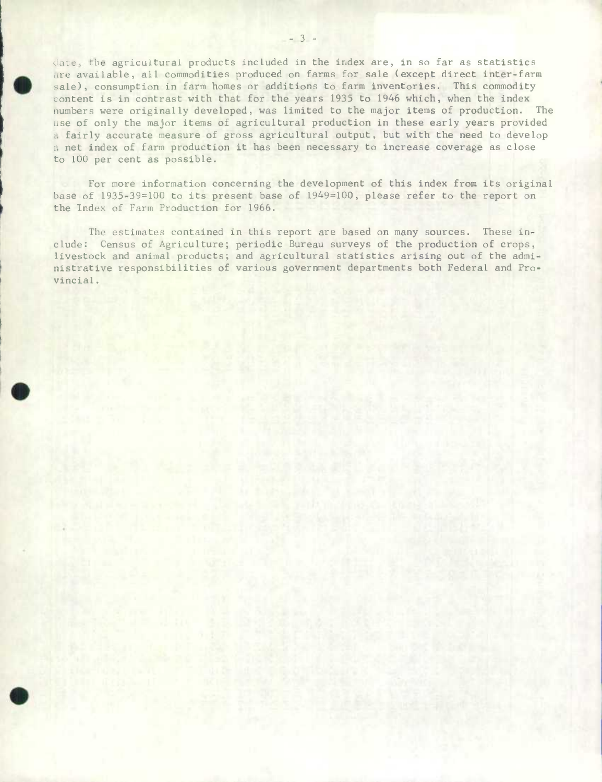date, the agricultural products included in the index are, in so far as statistics are available, all commodities produced on farms for sale (except direct inter-farm sale), consumption in farm homes or additions to farm inventories. This commodity content is in contrast with that for the years 1935 to 1946 which, when the index numbers were originally developed, was limited to the major items of production. The use of only the major items of agricultural production in these early years provided a fairly accurate measure of gross agricultural output, but with the need to develop a net index of farm production it has been necessary to increase coverage as close to 100 per cent as possible.

For more information concerning the development of this index from its original base of 1935-39=100 to its present base of 1949=100, please refer to the report on the Index of Farm Production for 1966.

The estimates contained in this report are based on many sources. These include: Census of Agriculture; periodic Bureau surveys of the production of crops, livestock and animal products; and agricultural statistics arising out of the administrative responsibilities of various government departments both Federal and Provincial.

 $\bullet$